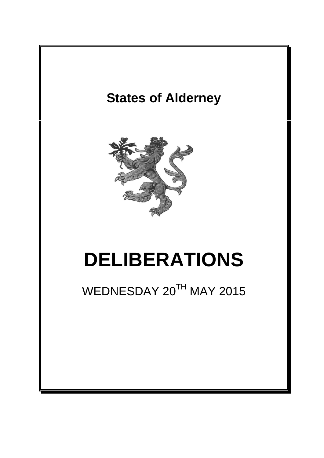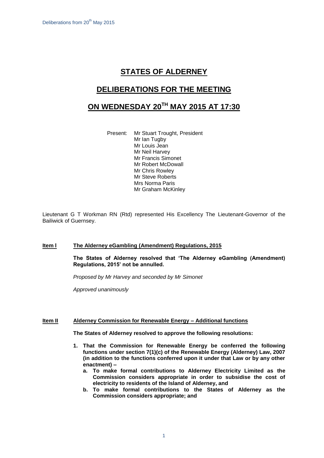# **STATES OF ALDERNEY**

## **DELIBERATIONS FOR THE MEETING**

# **ON WEDNESDAY 20 TH MAY 2015 AT 17:30**

Present: Mr Stuart Trought, President Mr Ian Tugby Mr Louis Jean Mr Neil Harvey Mr Francis Simonet Mr Robert McDowall Mr Chris Rowley Mr Steve Roberts Mrs Norma Paris Mr Graham McKinley

Lieutenant G T Workman RN (Rtd) represented His Excellency The Lieutenant-Governor of the Bailiwick of Guernsey.

### **Item l The Alderney eGambling (Amendment) Regulations, 2015**

**The States of Alderney resolved that 'The Alderney eGambling (Amendment) Regulations, 2015' not be annulled.**

*Proposed by Mr Harvey and seconded by Mr Simonet*

*Approved unanimously*

#### **Item II Alderney Commission for Renewable Energy – Additional functions**

**The States of Alderney resolved to approve the following resolutions:**

- **1. That the Commission for Renewable Energy be conferred the following functions under section 7(1)(c) of the Renewable Energy (Alderney) Law, 2007 (in addition to the functions conferred upon it under that Law or by any other enactment) –**
	- **a. To make formal contributions to Alderney Electricity Limited as the Commission considers appropriate in order to subsidise the cost of electricity to residents of the Island of Alderney, and**
	- **b. To make formal contributions to the States of Alderney as the Commission considers appropriate; and**